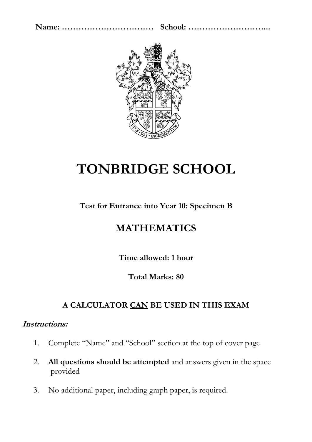

# **TONBRIDGE SCHOOL**

## **Test for Entrance into Year 10: Specimen B**

## **MATHEMATICS**

**Time allowed: 1 hour** 

### **Total Marks: 80**

## **A CALCULATOR CAN BE USED IN THIS EXAM**

### **Instructions:**

- 1. Complete "Name" and "School" section at the top of cover page
- 2. **All questions should be attempted** and answers given in the space provided
- 3. No additional paper, including graph paper, is required.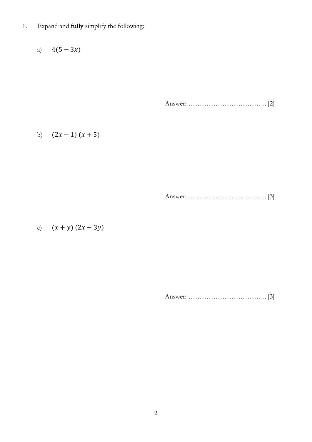1. Expand and **fully** simplify the following:

a)  $4(5-3x)$ 

Answer: …………………………….. [2]

b)  $(2x - 1)(x + 5)$ 

Answer: …………………………….. [3]

c)  $(x + y) (2x - 3y)$ 

Answer: …………………………….. [3]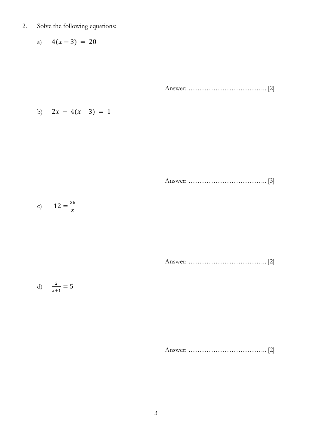- 2. Solve the following equations:
	- a)  $4(x-3) = 20$

Answer: …………………………….. [2]

b) 
$$
2x - 4(x - 3) = 1
$$

Answer: …………………………….. [3]

c) 
$$
12 = \frac{36}{x}
$$

Answer: …………………………….. [2]

$$
d) \quad \frac{2}{x+1} = 5
$$

Answer: …………………………….. [2]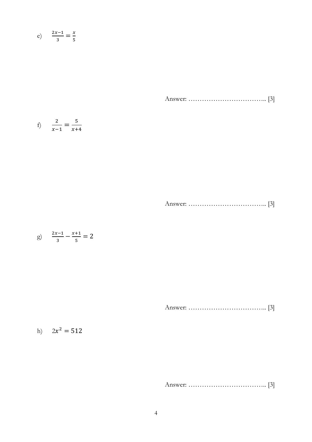$$
e) \qquad \frac{2x-1}{3} = \frac{x}{5}
$$

Answer: …………………………….. [3]

f) 
$$
\frac{2}{x-1} = \frac{5}{x+4}
$$

Answer: …………………………….. [3]

$$
g) \quad \frac{2x-1}{3} - \frac{x+1}{5} = 2
$$

Answer: …………………………….. [3]

#### h)  $2x^2 = 512$

Answer: …………………………….. [3]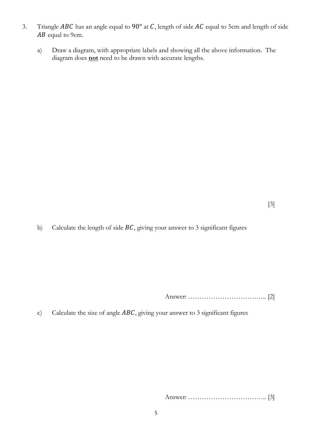- 3. Triangle *ABC* has an angle equal to 90 $^{\circ}$  at *C*, length of side *AC* equal to 5cm and length of side  $AB$  equal to 9cm.
	- a) Draw a diagram, with appropriate labels and showing all the above information. The diagram does **not** need to be drawn with accurate lengths.

b) Calculate the length of side  $BC$ , giving your answer to 3 significant figures

Answer: …………………………….. [2]

c) Calculate the size of angle  $ABC$ , giving your answer to 3 significant figures

Answer: …………………………….. [3]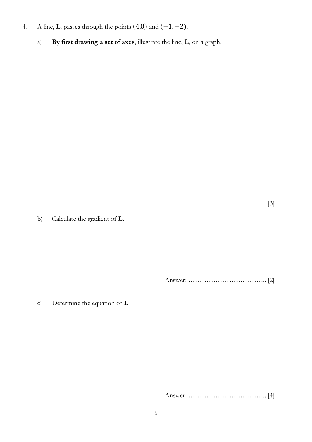- 4. A line, **L**, passes through the points (4,0) and (−1, −2).
	- a) **By first drawing a set of axes**, illustrate the line, **L**, on a graph.

[3]

b) Calculate the gradient of **L**.

Answer: …………………………….. [2]

c) Determine the equation of **L**.

Answer: …………………………….. [4]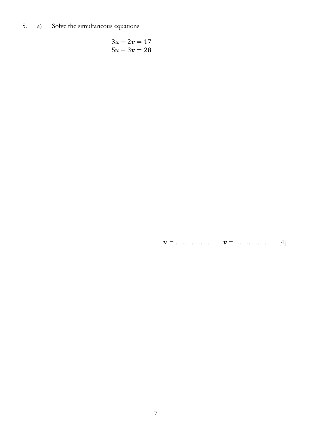5. Solve the simultaneous equations  $a)$ 

$$
3u - 2v = 17
$$
  

$$
5u - 3v = 28
$$

 $[4]$  $v =$ ................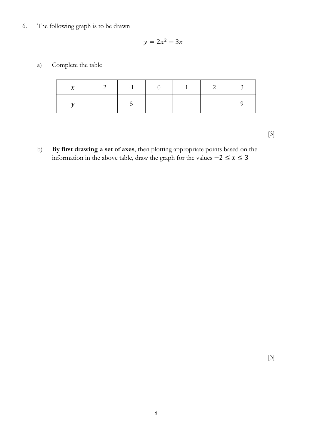#### 6. The following graph is to be drawn

$$
y = 2x^2 - 3x
$$

a) Complete the table

| $\chi$ | $-2$ $-1$ $-1$ | <b>Committee</b> | $\overline{1}$ |  |
|--------|----------------|------------------|----------------|--|
|        |                |                  |                |  |

[3]

b) **By first drawing a set of axes**, then plotting appropriate points based on the information in the above table, draw the graph for the values  $-2 \le x \le 3$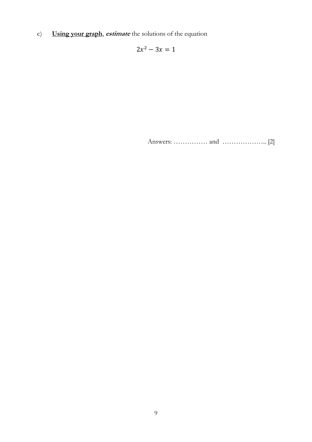Using your graph, estimate the solutions of the equation  $\mathbf{c})$ 

 $2x^2 - 3x = 1$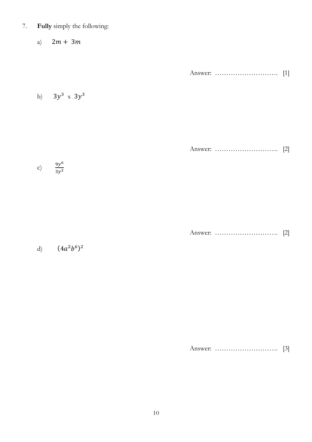7. **Fully** simply the following:

a)  $2m + 3m$ 

Answer: ………………………. [1]

b)  $3y^3 \times 3y^3$ 

Answer: ………………………. [2]

c)  $\frac{9y^6}{2x^2}$  $3y^2$ 

Answer: ………………………. [2]

d)  $(4a^2b^6)^2$ 

Answer: ………………………. [3]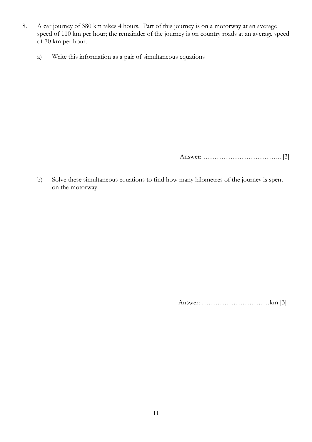- 8. A car journey of 380 km takes 4 hours. Part of this journey is on a motorway at an average speed of 110 km per hour; the remainder of the journey is on country roads at an average speed of 70 km per hour.
	- a) Write this information as a pair of simultaneous equations

Answer: …………………………….. [3]

b) Solve these simultaneous equations to find how many kilometres of the journey is spent on the motorway.

Answer: …………………………km [3]